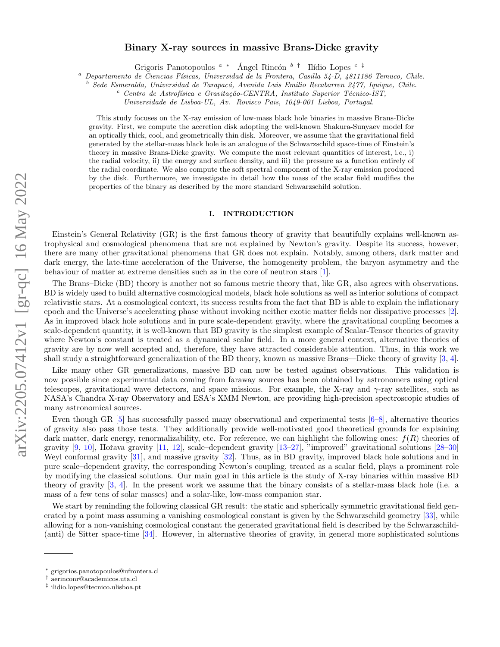# Binary X-ray sources in massive Brans-Dicke gravity

Grigoris Panotopoulos <sup>a</sup> \* Ángel Rincón <sup>b †</sup> Ilídio Lopes <sup>c ‡</sup>

Departamento de Ciencias Físicas, Universidad de la Frontera, Casilla 54-D, 4811186 Temuco, Chile.

<sup>b</sup> Sede Esmeralda, Universidad de Tarapac´a, Avenida Luis Emilio Recabarren 2477, Iquique, Chile.

 $c$  Centro de Astrofísica e Gravitação-CENTRA, Instituto Superior Técnico-IST,

Universidade de Lisboa-UL, Av. Rovisco Pais, 1049-001 Lisboa, Portugal.

This study focuses on the X-ray emission of low-mass black hole binaries in massive Brans-Dicke gravity. First, we compute the accretion disk adopting the well-known Shakura-Sunyaev model for an optically thick, cool, and geometrically thin disk. Moreover, we assume that the gravitational field generated by the stellar-mass black hole is an analogue of the Schwarzschild space-time of Einstein's theory in massive Brans-Dicke gravity. We compute the most relevant quantities of interest, i.e., i) the radial velocity, ii) the energy and surface density, and iii) the pressure as a function entirely of the radial coordinate. We also compute the soft spectral component of the X-ray emission produced by the disk. Furthermore, we investigate in detail how the mass of the scalar field modifies the properties of the binary as described by the more standard Schwarzschild solution.

### I. INTRODUCTION

Einstein's General Relativity (GR) is the first famous theory of gravity that beautifully explains well-known astrophysical and cosmological phenomena that are not explained by Newton's gravity. Despite its success, however, there are many other gravitational phenomena that GR does not explain. Notably, among others, dark matter and dark energy, the late-time acceleration of the Universe, the homogeneity problem, the baryon asymmetry and the behaviour of matter at extreme densities such as in the core of neutron stars [\[1\]](#page-9-0).

The Brans–Dicke (BD) theory is another not so famous metric theory that, like GR, also agrees with observations. BD is widely used to build alternative cosmological models, black hole solutions as well as interior solutions of compact relativistic stars. At a cosmological context, its success results from the fact that BD is able to explain the inflationary epoch and the Universe's accelerating phase without invoking neither exotic matter fields nor dissipative processes [\[2\]](#page-9-1). As in improved black hole solutions and in pure scale-dependent gravity, where the gravitational coupling becomes a scale-dependent quantity, it is well-known that BD gravity is the simplest example of Scalar-Tensor theories of gravity where Newton's constant is treated as a dynamical scalar field. In a more general context, alternative theories of gravity are by now well accepted and, therefore, they have attracted considerable attention. Thus, in this work we shall study a straightforward generalization of the BD theory, known as massive Brans—Dicke theory of gravity [\[3,](#page-9-2) [4\]](#page-9-3).

Like many other GR generalizations, massive BD can now be tested against observations. This validation is now possible since experimental data coming from faraway sources has been obtained by astronomers using optical telescopes, gravitational wave detectors, and space missions. For example, the X-ray and  $\gamma$ -ray satellites, such as NASA's Chandra X-ray Observatory and ESA's XMM Newton, are providing high-precision spectroscopic studies of many astronomical sources.

Even though GR [\[5\]](#page-9-4) has successfully passed many observational and experimental tests [\[6–](#page-9-5)[8\]](#page-9-6), alternative theories of gravity also pass those tests. They additionally provide well-motivated good theoretical grounds for explaining dark matter, dark energy, renormalizability, etc. For reference, we can highlight the following ones:  $f(R)$  theories of gravity  $[9, 10]$  $[9, 10]$  $[9, 10]$ , Hořava gravity  $[11, 12]$  $[11, 12]$  $[11, 12]$ , scale–dependent gravity  $[13–27]$  $[13–27]$ , "improved" gravitational solutions  $[28–30]$  $[28–30]$ Weyl conformal gravity [\[31\]](#page-9-15), and massive gravity [\[32\]](#page-9-16). Thus, as in BD gravity, improved black hole solutions and in pure scale–dependent gravity, the corresponding Newton's coupling, treated as a scalar field, plays a prominent role by modifying the classical solutions. Our main goal in this article is the study of X-ray binaries within massive BD theory of gravity [\[3,](#page-9-2) [4\]](#page-9-3). In the present work we assume that the binary consists of a stellar-mass black hole (i.e. a mass of a few tens of solar masses) and a solar-like, low-mass companion star.

We start by reminding the following classical GR result: the static and spherically symmetric gravitational field generated by a point mass assuming a vanishing cosmological constant is given by the Schwarzschild geometry [\[33\]](#page-9-17), while allowing for a non-vanishing cosmological constant the generated gravitational field is described by the Schwarzschild- (anti) de Sitter space-time [\[34\]](#page-9-18). However, in alternative theories of gravity, in general more sophisticated solutions

<sup>∗</sup> grigorios.panotopoulos@ufrontera.cl

<sup>†</sup> aerinconr@academicos.uta.cl

<sup>‡</sup> ilidio.lopes@tecnico.ulisboa.pt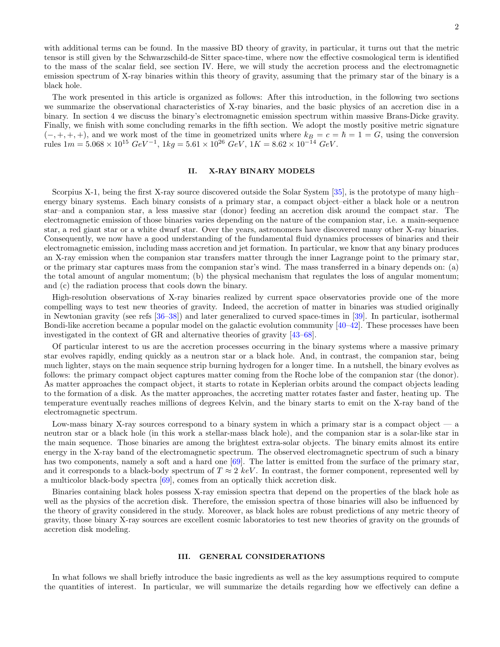with additional terms can be found. In the massive BD theory of gravity, in particular, it turns out that the metric tensor is still given by the Schwarzschild-de Sitter space-time, where now the effective cosmological term is identified to the mass of the scalar field, see section IV. Here, we will study the accretion process and the electromagnetic emission spectrum of X-ray binaries within this theory of gravity, assuming that the primary star of the binary is a black hole.

The work presented in this article is organized as follows: After this introduction, in the following two sections we summarize the observational characteristics of X-ray binaries, and the basic physics of an accretion disc in a binary. In section 4 we discuss the binary's electromagnetic emission spectrum within massive Brans-Dicke gravity. Finally, we finish with some concluding remarks in the fifth section. We adopt the mostly positive metric signature  $(-, +, +, +)$ , and we work most of the time in geometrized units where  $k_B = c = \hbar = 1 = G$ , using the conversion rules  $1m = 5.068 \times 10^{15} \text{ GeV}^{-1}$ ,  $1kg = 5.61 \times 10^{26} \text{ GeV}$ ,  $1K = 8.62 \times 10^{-14} \text{ GeV}$ .

# II. X-RAY BINARY MODELS

Scorpius X-1, being the first X-ray source discovered outside the Solar System [\[35\]](#page-9-19), is the prototype of many high– energy binary systems. Each binary consists of a primary star, a compact object–either a black hole or a neutron star–and a companion star, a less massive star (donor) feeding an accretion disk around the compact star. The electromagnetic emission of those binaries varies depending on the nature of the companion star, i.e. a main-sequence star, a red giant star or a white dwarf star. Over the years, astronomers have discovered many other X-ray binaries. Consequently, we now have a good understanding of the fundamental fluid dynamics processes of binaries and their electromagnetic emission, including mass accretion and jet formation. In particular, we know that any binary produces an X-ray emission when the companion star transfers matter through the inner Lagrange point to the primary star, or the primary star captures mass from the companion star's wind. The mass transferred in a binary depends on: (a) the total amount of angular momentum; (b) the physical mechanism that regulates the loss of angular momentum; and (c) the radiation process that cools down the binary.

High-resolution observations of X-ray binaries realized by current space observatories provide one of the more compelling ways to test new theories of gravity. Indeed, the accretion of matter in binaries was studied originally in Newtonian gravity (see refs [\[36–](#page-9-20)[38\]](#page-9-21)) and later generalized to curved space-times in [\[39\]](#page-9-22). In particular, isothermal Bondi-like accretion became a popular model on the galactic evolution community [\[40–](#page-9-23)[42\]](#page-10-0). These processes have been investigated in the context of GR and alternative theories of gravity [\[43](#page-10-1)[–68\]](#page-10-2).

Of particular interest to us are the accretion processes occurring in the binary systems where a massive primary star evolves rapidly, ending quickly as a neutron star or a black hole. And, in contrast, the companion star, being much lighter, stays on the main sequence strip burning hydrogen for a longer time. In a nutshell, the binary evolves as follows: the primary compact object captures matter coming from the Roche lobe of the companion star (the donor). As matter approaches the compact object, it starts to rotate in Keplerian orbits around the compact objects leading to the formation of a disk. As the matter approaches, the accreting matter rotates faster and faster, heating up. The temperature eventually reaches millions of degrees Kelvin, and the binary starts to emit on the X-ray band of the electromagnetic spectrum.

Low-mass binary X-ray sources correspond to a binary system in which a primary star is a compact object  $-$  a neutron star or a black hole (in this work a stellar-mass black hole), and the companion star is a solar-like star in the main sequence. Those binaries are among the brightest extra-solar objects. The binary emits almost its entire energy in the X-ray band of the electromagnetic spectrum. The observed electromagnetic spectrum of such a binary has two components, namely a soft and a hard one [\[69\]](#page-10-3). The latter is emitted from the surface of the primary star, and it corresponds to a black-body spectrum of  $T \approx 2 \; keV$ . In contrast, the former component, represented well by a multicolor black-body spectra [\[69\]](#page-10-3), comes from an optically thick accretion disk.

Binaries containing black holes possess X-ray emission spectra that depend on the properties of the black hole as well as the physics of the accretion disk. Therefore, the emission spectra of those binaries will also be influenced by the theory of gravity considered in the study. Moreover, as black holes are robust predictions of any metric theory of gravity, those binary X-ray sources are excellent cosmic laboratories to test new theories of gravity on the grounds of accretion disk modeling.

### III. GENERAL CONSIDERATIONS

In what follows we shall briefly introduce the basic ingredients as well as the key assumptions required to compute the quantities of interest. In particular, we will summarize the details regarding how we effectively can define a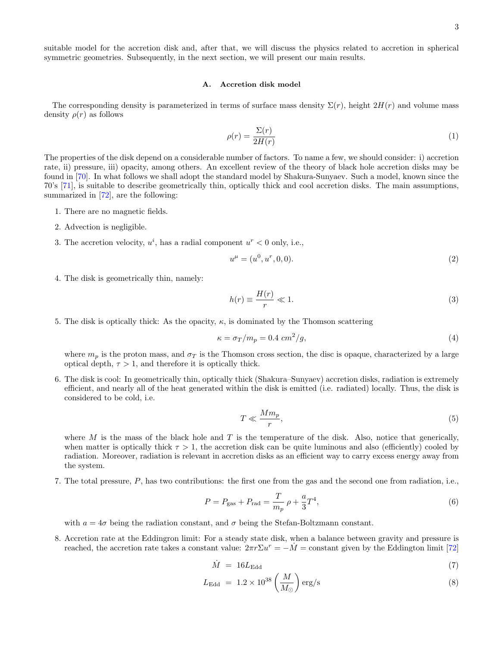suitable model for the accretion disk and, after that, we will discuss the physics related to accretion in spherical symmetric geometries. Subsequently, in the next section, we will present our main results.

### A. Accretion disk model

The corresponding density is parameterized in terms of surface mass density  $\Sigma(r)$ , height  $2H(r)$  and volume mass density  $\rho(r)$  as follows

<span id="page-2-0"></span>
$$
\rho(r) = \frac{\Sigma(r)}{2H(r)}\tag{1}
$$

The properties of the disk depend on a considerable number of factors. To name a few, we should consider: i) accretion rate, ii) pressure, iii) opacity, among others. An excellent review of the theory of black hole accretion disks may be found in [\[70\]](#page-10-4). In what follows we shall adopt the standard model by Shakura-Sunyaev. Such a model, known since the 70's [\[71\]](#page-10-5), is suitable to describe geometrically thin, optically thick and cool accretion disks. The main assumptions, summarized in  $[72]$ , are the following:

- 1. There are no magnetic fields.
- 2. Advection is negligible.
- 3. The accretion velocity,  $u^i$ , has a radial component  $u^r < 0$  only, i.e.,

$$
u^{\mu} = (u^0, u^r, 0, 0). \tag{2}
$$

4. The disk is geometrically thin, namely:

$$
h(r) \equiv \frac{H(r)}{r} \ll 1.
$$
\n(3)

5. The disk is optically thick: As the opacity,  $\kappa$ , is dominated by the Thomson scattering

$$
\kappa = \sigma_T / m_p = 0.4 \, \text{cm}^2 / g,\tag{4}
$$

where  $m_p$  is the proton mass, and  $\sigma_T$  is the Thomson cross section, the disc is opaque, characterized by a large optical depth,  $\tau > 1$ , and therefore it is optically thick.

6. The disk is cool: In geometrically thin, optically thick (Shakura–Sunyaev) accretion disks, radiation is extremely efficient, and nearly all of the heat generated within the disk is emitted (i.e. radiated) locally. Thus, the disk is considered to be cold, i.e.

$$
T \ll \frac{Mm_p}{r},\tag{5}
$$

where M is the mass of the black hole and T is the temperature of the disk. Also, notice that generically, when matter is optically thick  $\tau > 1$ , the accretion disk can be quite luminous and also (efficiently) cooled by radiation. Moreover, radiation is relevant in accretion disks as an efficient way to carry excess energy away from the system.

7. The total pressure, P, has two contributions: the first one from the gas and the second one from radiation, i.e.,

<span id="page-2-1"></span>
$$
P = P_{\text{gas}} + P_{\text{rad}} = \frac{T}{m_p} \rho + \frac{a}{3} T^4,\tag{6}
$$

with  $a = 4\sigma$  being the radiation constant, and  $\sigma$  being the Stefan-Boltzmann constant.

8. Accretion rate at the Eddingron limit: For a steady state disk, when a balance between gravity and pressure is reached, the accretion rate takes a constant value:  $2\pi r \Sigma u^r = -\dot{M}$  = constant given by the Eddington limit [\[72\]](#page-10-6)

$$
\dot{M} = 16L_{\rm Edd} \tag{7}
$$

$$
L_{\rm Edd} = 1.2 \times 10^{38} \left(\frac{M}{M_{\odot}}\right) \text{erg/s}
$$
 (8)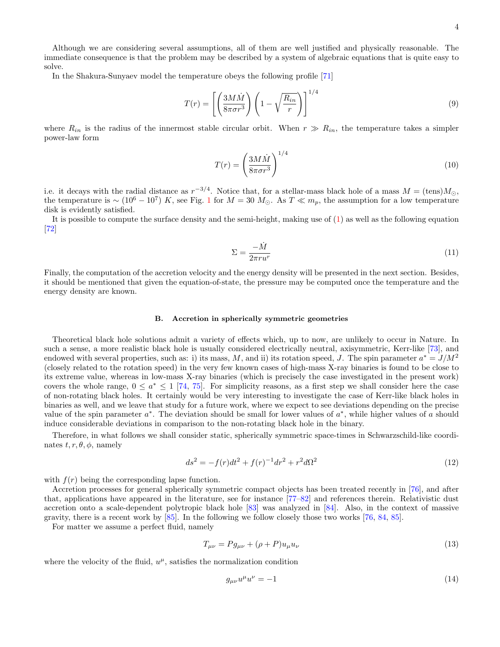Although we are considering several assumptions, all of them are well justified and physically reasonable. The immediate consequence is that the problem may be described by a system of algebraic equations that is quite easy to solve.

In the Shakura-Sunyaev model the temperature obeys the following profile [\[71\]](#page-10-5)

$$
T(r) = \left[ \left( \frac{3M\dot{M}}{8\pi\sigma r^3} \right) \left( 1 - \sqrt{\frac{R_{in}}{r}} \right) \right]^{1/4} \tag{9}
$$

where  $R_{in}$  is the radius of the innermost stable circular orbit. When  $r \gg R_{in}$ , the temperature takes a simpler power-law form

<span id="page-3-1"></span>
$$
T(r) = \left(\frac{3M\dot{M}}{8\pi\sigma r^3}\right)^{1/4} \tag{10}
$$

i.e. it decays with the radial distance as  $r^{-3/4}$ . Notice that, for a stellar-mass black hole of a mass  $M = (\text{tens})M_{\odot}$ , the temperature is ~  $(10^6 - 10^7) K$  $(10^6 - 10^7) K$  $(10^6 - 10^7) K$ , see Fig. 1 for  $M = 30 M_{\odot}$ . As  $T \ll m_p$ , the assumption for a low temperature disk is evidently satisfied.

It is possible to compute the surface density and the semi-height, making use of [\(1\)](#page-2-0) as well as the following equation [\[72\]](#page-10-6)

$$
\Sigma = \frac{-\dot{M}}{2\pi r u^r} \tag{11}
$$

Finally, the computation of the accretion velocity and the energy density will be presented in the next section. Besides, it should be mentioned that given the equation-of-state, the pressure may be computed once the temperature and the energy density are known.

#### B. Accretion in spherically symmetric geometries

Theoretical black hole solutions admit a variety of effects which, up to now, are unlikely to occur in Nature. In such a sense, a more realistic black hole is usually considered electrically neutral, axisymmetric, Kerr-like [\[73\]](#page-10-7), and endowed with several properties, such as: i) its mass, M, and ii) its rotation speed, J. The spin parameter  $a^* = J/M^2$ (closely related to the rotation speed) in the very few known cases of high-mass X-ray binaries is found to be close to its extreme value, whereas in low-mass X-ray binaries (which is precisely the case investigated in the present work) covers the whole range,  $0 \le a^* \le 1$  [\[74,](#page-10-8) [75\]](#page-10-9). For simplicity reasons, as a first step we shall consider here the case of non-rotating black holes. It certainly would be very interesting to investigate the case of Kerr-like black holes in binaries as well, and we leave that study for a future work, where we expect to see deviations depending on the precise value of the spin parameter  $a^*$ . The deviation should be small for lower values of  $a^*$ , while higher values of a should induce considerable deviations in comparison to the non-rotating black hole in the binary.

Therefore, in what follows we shall consider static, spherically symmetric space-times in Schwarzschild-like coordinates  $t, r, \theta, \phi$ , namely

<span id="page-3-0"></span>
$$
ds^{2} = -f(r)dt^{2} + f(r)^{-1}dr^{2} + r^{2}d\Omega^{2}
$$
\n(12)

with  $f(r)$  being the corresponding lapse function.

Accretion processes for general spherically symmetric compact objects has been treated recently in [\[76\]](#page-10-10), and after that, applications have appeared in the literature, see for instance [\[77–](#page-10-11)[82\]](#page-10-12) and references therein. Relativistic dust accretion onto a scale-dependent polytropic black hole [\[83\]](#page-10-13) was analyzed in [\[84\]](#page-10-14). Also, in the context of massive gravity, there is a recent work by [\[85\]](#page-10-15). In the following we follow closely those two works [\[76,](#page-10-10) [84,](#page-10-14) [85\]](#page-10-15).

For matter we assume a perfect fluid, namely

$$
T_{\mu\nu} = P g_{\mu\nu} + (\rho + P) u_{\mu} u_{\nu} \tag{13}
$$

where the velocity of the fluid,  $u^{\mu}$ , satisfies the normalization condition

$$
g_{\mu\nu}u^{\mu}u^{\nu} = -1\tag{14}
$$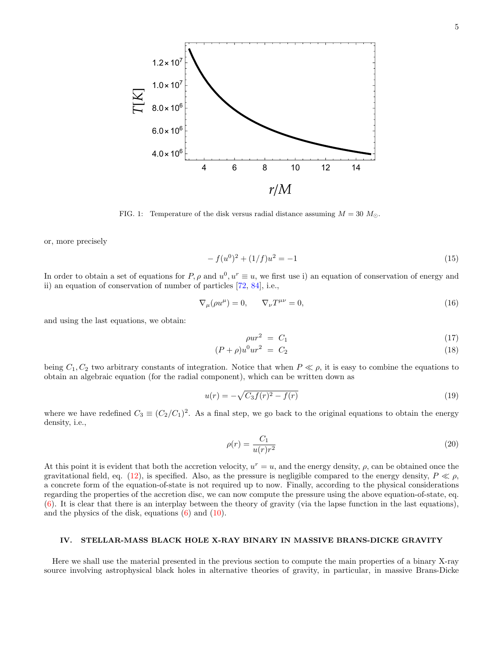

<span id="page-4-0"></span>FIG. 1: Temperature of the disk versus radial distance assuming  $M = 30$   $M_{\odot}$ .

or, more precisely

$$
-f(u^{0})^{2} + (1/f)u^{2} = -1
$$
\n(15)

In order to obtain a set of equations for P,  $\rho$  and  $u^0, u^r \equiv u$ , we first use i) an equation of conservation of energy and ii) an equation of conservation of number of particles [\[72,](#page-10-6) [84\]](#page-10-14), i.e.,

$$
\nabla_{\mu}(\rho u^{\mu}) = 0, \qquad \nabla_{\nu}T^{\mu\nu} = 0,
$$
\n(16)

and using the last equations, we obtain:

$$
\rho u r^2 = C_1 \tag{17}
$$

$$
(P + \rho)u^{0}ur^{2} = C_{2}
$$
\n(18)

being  $C_1, C_2$  two arbitrary constants of integration. Notice that when  $P \ll \rho$ , it is easy to combine the equations to obtain an algebraic equation (for the radial component), which can be written down as

$$
u(r) = -\sqrt{C_3 f(r)^2 - f(r)}
$$
\n(19)

where we have redefined  $C_3 \equiv (C_2/C_1)^2$ . As a final step, we go back to the original equations to obtain the energy density, i.e.,

$$
\rho(r) = \frac{C_1}{u(r)r^2} \tag{20}
$$

At this point it is evident that both the accretion velocity,  $u^r = u$ , and the energy density,  $\rho$ , can be obtained once the gravitational field, eq. [\(12\)](#page-3-0), is specified. Also, as the pressure is negligible compared to the energy density,  $P \ll \rho$ , a concrete form of the equation-of-state is not required up to now. Finally, according to the physical considerations regarding the properties of the accretion disc, we can now compute the pressure using the above equation-of-state, eq. [\(6\)](#page-2-1). It is clear that there is an interplay between the theory of gravity (via the lapse function in the last equations), and the physics of the disk, equations [\(6\)](#page-2-1) and [\(10\)](#page-3-1).

# IV. STELLAR-MASS BLACK HOLE X-RAY BINARY IN MASSIVE BRANS-DICKE GRAVITY

Here we shall use the material presented in the previous section to compute the main properties of a binary X-ray source involving astrophysical black holes in alternative theories of gravity, in particular, in massive Brans-Dicke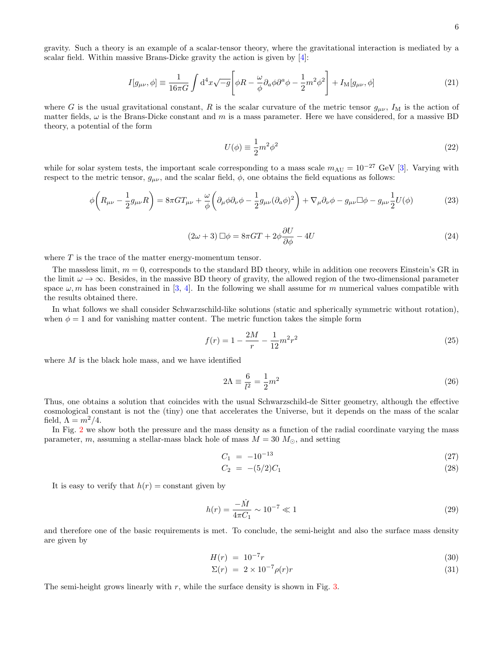6

gravity. Such a theory is an example of a scalar-tensor theory, where the gravitational interaction is mediated by a scalar field. Within massive Brans-Dicke gravity the action is given by [\[4\]](#page-9-3):

$$
I[g_{\mu\nu},\phi] \equiv \frac{1}{16\pi G} \int d^4x \sqrt{-g} \left[ \phi R - \frac{\omega}{\phi} \partial_a \phi \partial^a \phi - \frac{1}{2} m^2 \phi^2 \right] + I_M[g_{\mu\nu},\phi]
$$
(21)

where G is the usual gravitational constant, R is the scalar curvature of the metric tensor  $g_{\mu\nu}$ ,  $I_M$  is the action of matter fields,  $\omega$  is the Brans-Dicke constant and m is a mass parameter. Here we have considered, for a massive BD theory, a potential of the form

$$
U(\phi) \equiv \frac{1}{2}m^2\phi^2\tag{22}
$$

while for solar system tests, the important scale corresponding to a mass scale  $m_{\text{AU}} = 10^{-27}$  GeV [\[3\]](#page-9-2). Varying with respect to the metric tensor,  $g_{\mu\nu}$ , and the scalar field,  $\phi$ , one obtains the field equations as follows:

$$
\phi\left(R_{\mu\nu} - \frac{1}{2}g_{\mu\nu}R\right) = 8\pi GT_{\mu\nu} + \frac{\omega}{\phi}\left(\partial_{\mu}\phi\partial_{\nu}\phi - \frac{1}{2}g_{\mu\nu}(\partial_{a}\phi)^{2}\right) + \nabla_{\mu}\partial_{\nu}\phi - g_{\mu\nu}\Box\phi - g_{\mu\nu}\frac{1}{2}U(\phi)
$$
\n(23)

$$
(2\omega + 3)\Box \phi = 8\pi GT + 2\phi \frac{\partial U}{\partial \phi} - 4U\tag{24}
$$

where  $T$  is the trace of the matter energy-momentum tensor.

The massless limit,  $m = 0$ , corresponds to the standard BD theory, while in addition one recovers Einstein's GR in the limit  $\omega \to \infty$ . Besides, in the massive BD theory of gravity, the allowed region of the two-dimensional parameter space  $\omega$ , m has been constrained in [\[3,](#page-9-2) [4\]](#page-9-3). In the following we shall assume for m numerical values compatible with the results obtained there.

In what follows we shall consider Schwarzschild-like solutions (static and spherically symmetric without rotation), when  $\phi = 1$  and for vanishing matter content. The metric function takes the simple form

$$
f(r) = 1 - \frac{2M}{r} - \frac{1}{12}m^2r^2
$$
\n<sup>(25)</sup>

where  $M$  is the black hole mass, and we have identified

$$
2\Lambda \equiv \frac{6}{l^2} = \frac{1}{2}m^2\tag{26}
$$

Thus, one obtains a solution that coincides with the usual Schwarzschild-de Sitter geometry, although the effective cosmological constant is not the (tiny) one that accelerates the Universe, but it depends on the mass of the scalar field,  $\Lambda = m^2/4$ .

In Fig. [2](#page-6-0) we show both the pressure and the mass density as a function of the radial coordinate varying the mass parameter, m, assuming a stellar-mass black hole of mass  $M = 30$   $M_{\odot}$ , and setting

$$
C_1 = -10^{-13} \tag{27}
$$

$$
C_2 = -(5/2)C_1 \tag{28}
$$

It is easy to verify that  $h(r) = constant$  given by

$$
h(r) = \frac{-\dot{M}}{4\pi C_1} \sim 10^{-7} \ll 1
$$
\n(29)

and therefore one of the basic requirements is met. To conclude, the semi-height and also the surface mass density are given by

$$
H(r) = 10^{-7}r \tag{30}
$$

$$
\Sigma(r) = 2 \times 10^{-7} \rho(r)r \tag{31}
$$

The semi-height grows linearly with  $r$ , while the surface density is shown in Fig. [3.](#page-8-0)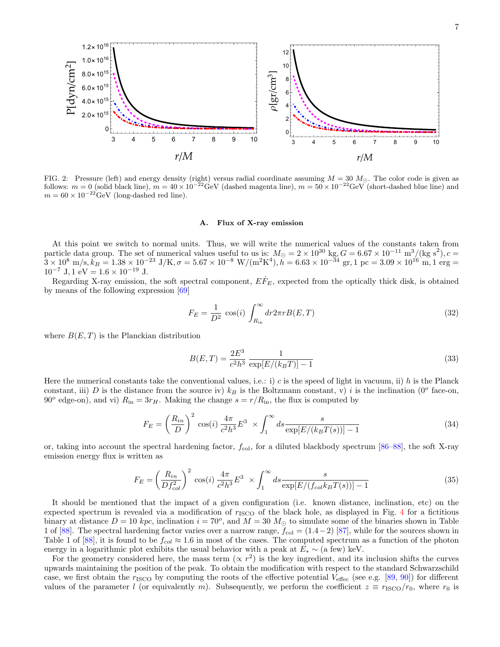

<span id="page-6-0"></span>FIG. 2: Pressure (left) and energy density (right) versus radial coordinate assuming  $M = 30$   $M_{\odot}$ . The color code is given as follows:  $m = 0$  (solid black line),  $m = 40 \times 10^{-22}$  GeV (dashed magenta line),  $m = 50 \times 10^{-22}$  GeV (short-dashed blue line) and  $m = 60 \times 10^{-22}$ GeV (long-dashed red line).

#### A. Flux of X-ray emission

At this point we switch to normal units. Thus, we will write the numerical values of the constants taken from particle data group. The set of numerical values useful to us is:  $M_{\odot} = 2 \times 10^{30}$  kg,  $G = 6.67 \times 10^{-11}$  m<sup>3</sup>/(kg s<sup>2</sup>), c  $\tilde{3} \times 10^8 \,\, \text{m/s}, k_B = 1.38 \times 10^{-23} \,\, \text{J/K}, \sigma = 5.67 \times 10^{-8} \,\, \text{W/(m}^2 \text{K}^4), \tilde{h} = 6.63 \times 10^{-34} \,\, \text{gr}, 1 \,\, \text{pc} = 3.09 \times 10^{16} \,\, \text{m}, 1 \,\, \text{erg} = 1.38 \times 10^{-23} \,\, \text{J/K}, \sigma = 5.67 \times 10^{-8} \,\, \text{W/(m}^2 \text{K}^4), \tilde{$  $10^{-7}$  J, 1 eV =  $1.6 \times 10^{-19}$  J.

Regarding X-ray emission, the soft spectral component,  $E\dot{F}_E$ , expected from the optically thick disk, is obtained by means of the following expression [\[69\]](#page-10-3)

$$
F_E = \frac{1}{D^2} \cos(i) \int_{R_{\text{in}}}^{\infty} dr 2\pi r B(E, T) \tag{32}
$$

where  $B(E, T)$  is the Planckian distribution

$$
B(E,T) = \frac{2E^3}{c^2h^3} \frac{1}{\exp[E/(k_BT)] - 1}
$$
\n(33)

Here the numerical constants take the conventional values, i.e.: i) c is the speed of light in vacuum, ii) h is the Planck constant, iii) D is the distance from the source iv)  $k_B$  is the Boltzmann constant, v) i is the inclination (0<sup>o</sup> face-on, 90<sup>o</sup> edge-on), and vi)  $R_{\text{in}} = 3r_H$ . Making the change  $s = r/R_{\text{in}}$ , the flux is computed by

$$
F_E = \left(\frac{R_{in}}{D}\right)^2 \cos(i) \frac{4\pi}{c^2 h^3} E^3 \times \int_1^\infty ds \frac{s}{\exp[E/(k_B T(s))] - 1}
$$
(34)

or, taking into account the spectral hardening factor,  $f_{\text{col}}$ , for a diluted blackbody spectrum [\[86](#page-10-16)[–88\]](#page-10-17), the soft X-ray emission energy flux is written as

$$
F_E = \left(\frac{R_{in}}{Df_{col}^2}\right)^2 \cos(i) \frac{4\pi}{c^2 h^3} E^3 \times \int_1^\infty ds \frac{s}{\exp[E/(f_{col} k_B T(s))] - 1}
$$
(35)

It should be mentioned that the impact of a given configuration (i.e. known distance, inclination, etc) on the expected spectrum is revealed via a modification of  $r_{\text{ISCO}}$  of the black hole, as displayed in Fig. [4](#page-8-1) for a fictitious binary at distance  $D = 10$  kpc, inclination  $i = 70^{\circ}$ , and  $M = 30$   $M_{\odot}$  to simulate some of the binaries shown in Table 1 of [\[88\]](#page-10-17). The spectral hardening factor varies over a narrow range,  $f_{\text{col}} = (1.4-2)$  [\[87\]](#page-10-18), while for the sources shown in Table 1 of [\[88\]](#page-10-17), it is found to be  $f_{col} \approx 1.6$  in most of the cases. The computed spectrum as a function of the photon energy in a logarithmic plot exhibits the usual behavior with a peak at  $E_* \sim$  (a few) keV.

For the geometry considered here, the mass term  $(\propto r^2)$  is the key ingredient, and its inclusion shifts the curves upwards maintaining the position of the peak. To obtain the modification with respect to the standard Schwarzschild case, we first obtain the  $r_{\text{ISCO}}$  by computing the roots of the effective potential  $V_{\text{effec}}$  (see e.g. [\[89,](#page-10-19) [90\]](#page-10-20)) for different values of the parameter l (or equivalently m). Subsequently, we perform the coefficient  $z \equiv r_{\rm ISCO}/r_0$ , where  $r_0$  is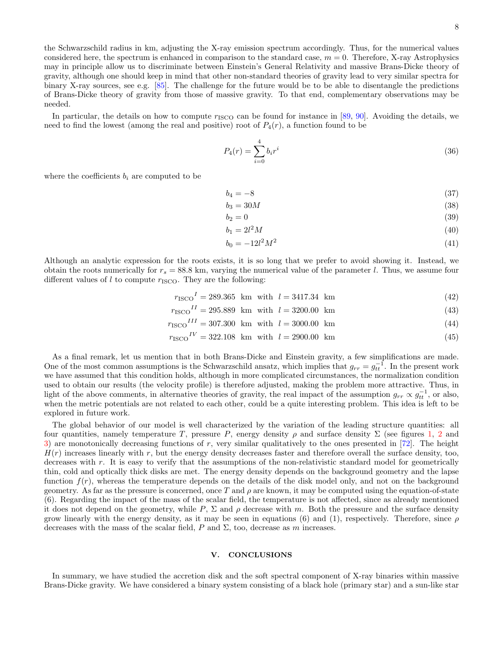the Schwarzschild radius in km, adjusting the X-ray emission spectrum accordingly. Thus, for the numerical values considered here, the spectrum is enhanced in comparison to the standard case,  $m = 0$ . Therefore, X-ray Astrophysics may in principle allow us to discriminate between Einstein's General Relativity and massive Brans-Dicke theory of gravity, although one should keep in mind that other non-standard theories of gravity lead to very similar spectra for binary X-ray sources, see e.g. [\[85\]](#page-10-15). The challenge for the future would be to be able to disentangle the predictions of Brans-Dicke theory of gravity from those of massive gravity. To that end, complementary observations may be needed.

In particular, the details on how to compute  $r_{\text{ISCO}}$  can be found for instance in [\[89,](#page-10-19) [90\]](#page-10-20). Avoiding the details, we need to find the lowest (among the real and positive) root of  $P_4(r)$ , a function found to be

$$
P_4(r) = \sum_{i=0}^{4} b_i r^i
$$
\n(36)

where the coefficients  $b_i$  are computed to be

$$
b_4 = -8 \tag{37}
$$

$$
b_3 = 30M\tag{38}
$$

$$
b_2 = 0 \tag{39}
$$

$$
b_1 = 2l^2M\tag{40}
$$

$$
b_0 = -12l^2 M^2 \tag{41}
$$

Although an analytic expression for the roots exists, it is so long that we prefer to avoid showing it. Instead, we obtain the roots numerically for  $r_s = 88.8$  km, varying the numerical value of the parameter l. Thus, we assume four different values of  $l$  to compute  $r_{\text{ISCO}}$ . They are the following:

 $r_{\text{ISCO}}^I = 289.365 \text{ km with } l = 3417.34 \text{ km}$  (42)

$$
r_{\text{ISCO}}^{II} = 295.889 \text{ km with } l = 3200.00 \text{ km} \tag{43}
$$

$$
r_{\rm ISCO}^{III} = 307.300 \text{ km with } l = 3000.00 \text{ km} \tag{44}
$$

$$
r_{\rm ISCO}{}^{IV} = 322.108 \, \text{km} \, \text{with} \, l = 2900.00 \, \text{km} \tag{45}
$$

As a final remark, let us mention that in both Brans-Dicke and Einstein gravity, a few simplifications are made. One of the most common assumptions is the Schwarzschild ansatz, which implies that  $g_{rr} = g_{tt}^{-1}$ . In the present work we have assumed that this condition holds, although in more complicated circumstances, the normalization condition used to obtain our results (the velocity profile) is therefore adjusted, making the problem more attractive. Thus, in light of the above comments, in alternative theories of gravity, the real impact of the assumption  $g_{rr} \propto g_{tt}^{-1}$ , or also, when the metric potentials are not related to each other, could be a quite interesting problem. This idea is left to be explored in future work.

The global behavior of our model is well characterized by the variation of the leading structure quantities: all four quantities, namely temperature T, pressure P, energy density  $\rho$  and surface density  $\Sigma$  (see figures [1,](#page-4-0) [2](#page-6-0) and [3\)](#page-8-0) are monotonically decreasing functions of r, very similar qualitatively to the ones presented in  $[72]$ . The height  $H(r)$  increases linearly with r, but the energy density decreases faster and therefore overall the surface density, too, decreases with r. It is easy to verify that the assumptions of the non-relativistic standard model for geometrically thin, cold and optically thick disks are met. The energy density depends on the background geometry and the lapse function  $f(r)$ , whereas the temperature depends on the details of the disk model only, and not on the background geometry. As far as the pressure is concerned, once T and  $\rho$  are known, it may be computed using the equation-of-state (6). Regarding the impact of the mass of the scalar field, the temperature is not affected, since as already mentioned it does not depend on the geometry, while P,  $\Sigma$  and  $\rho$  decrease with m. Both the pressure and the surface density grow linearly with the energy density, as it may be seen in equations (6) and (1), respectively. Therefore, since  $\rho$ decreases with the mass of the scalar field, P and  $\Sigma$ , too, decrease as m increases.

# V. CONCLUSIONS

In summary, we have studied the accretion disk and the soft spectral component of X-ray binaries within massive Brans-Dicke gravity. We have considered a binary system consisting of a black hole (primary star) and a sun-like star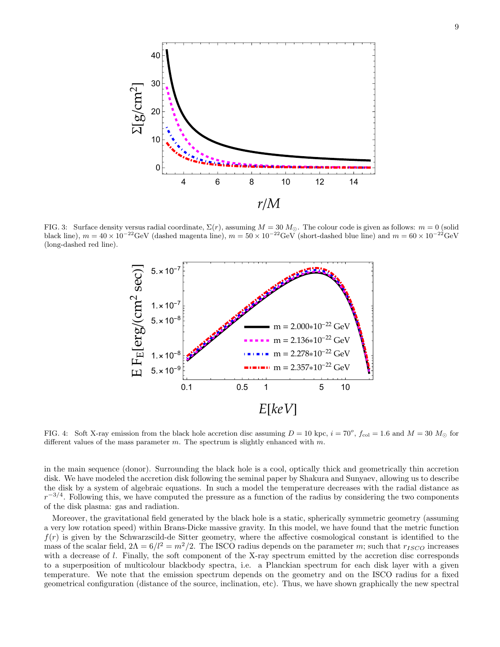

<span id="page-8-0"></span>FIG. 3: Surface density versus radial coordinate,  $\Sigma(r)$ , assuming  $M = 30 M_{\odot}$ . The colour code is given as follows:  $m = 0$  (solid black line),  $m = 40 \times 10^{-22}$ GeV (dashed magenta line),  $m = 50 \times 10^{-22}$ GeV (short-dashed blue line) and  $m = 60 \times 10^{-22}$ GeV (long-dashed red line).



<span id="page-8-1"></span>FIG. 4: Soft X-ray emission from the black hole accretion disc assuming  $D = 10$  kpc,  $i = 70^{\circ}$ ,  $f_{\text{col}} = 1.6$  and  $M = 30$   $M_{\odot}$  for different values of the mass parameter m. The spectrum is slightly enhanced with  $m$ .

in the main sequence (donor). Surrounding the black hole is a cool, optically thick and geometrically thin accretion disk. We have modeled the accretion disk following the seminal paper by Shakura and Sunyaev, allowing us to describe the disk by a system of algebraic equations. In such a model the temperature decreases with the radial distance as  $r^{-3/4}$ . Following this, we have computed the pressure as a function of the radius by considering the two components of the disk plasma: gas and radiation.

Moreover, the gravitational field generated by the black hole is a static, spherically symmetric geometry (assuming a very low rotation speed) within Brans-Dicke massive gravity. In this model, we have found that the metric function  $f(r)$  is given by the Schwarzscild-de Sitter geometry, where the affective cosmological constant is identified to the mass of the scalar field,  $2\Lambda = 6/l^2 = m^2/2$ . The ISCO radius depends on the parameter m; such that  $r_{ISCO}$  increases with a decrease of l. Finally, the soft component of the X-ray spectrum emitted by the accretion disc corresponds to a superposition of multicolour blackbody spectra, i.e. a Planckian spectrum for each disk layer with a given temperature. We note that the emission spectrum depends on the geometry and on the ISCO radius for a fixed geometrical configuration (distance of the source, inclination, etc). Thus, we have shown graphically the new spectral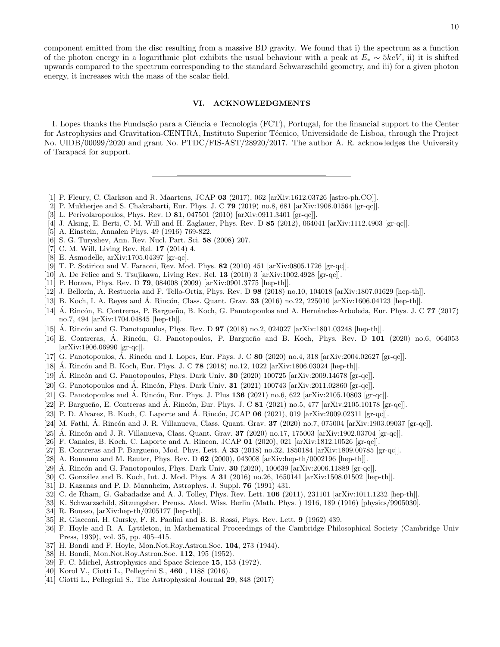component emitted from the disc resulting from a massive BD gravity. We found that i) the spectrum as a function of the photon energy in a logarithmic plot exhibits the usual behaviour with a peak at  $E_* \sim 5 keV$ , ii) it is shifted upwards compared to the spectrum corresponding to the standard Schwarzschild geometry, and iii) for a given photon energy, it increases with the mass of the scalar field.

# VI. ACKNOWLEDGMENTS

I. Lopes thanks the Fundação para a Ciência e Tecnologia (FCT), Portugal, for the financial support to the Center for Astrophysics and Gravitation-CENTRA, Instituto Superior Técnico, Universidade de Lisboa, through the Project No. UIDB/00099/2020 and grant No. PTDC/FIS-AST/28920/2017. The author A. R. acknowledges the University of Tarapaca<sup>f</sup> for support.

- <span id="page-9-0"></span>[1] P. Fleury, C. Clarkson and R. Maartens, JCAP 03 (2017), 062 [arXiv:1612.03726 [astro-ph.CO]].
- <span id="page-9-1"></span>[2] P. Mukherjee and S. Chakrabarti, Eur. Phys. J. C 79 (2019) no.8, 681 [arXiv:1908.01564 [gr-qc]].
- <span id="page-9-2"></span>[3] L. Perivolaropoulos, Phys. Rev. D 81, 047501 (2010) [arXiv:0911.3401 [gr-qc]].
- <span id="page-9-3"></span>[4] J. Alsing, E. Berti, C. M. Will and H. Zaglauer, Phys. Rev. D 85 (2012), 064041 [arXiv:1112.4903 [gr-qc]].
- <span id="page-9-4"></span>[5] A. Einstein, Annalen Phys. 49 (1916) 769-822.
- <span id="page-9-5"></span>[6] S. G. Turyshev, Ann. Rev. Nucl. Part. Sci. 58 (2008) 207.
- [7] C. M. Will, Living Rev. Rel. 17 (2014) 4.
- <span id="page-9-6"></span>[8] E. Asmodelle, arXiv:1705.04397 [gr-qc].
- <span id="page-9-7"></span>[9] T. P. Sotiriou and V. Faraoni, Rev. Mod. Phys. 82 (2010) 451 [arXiv:0805.1726 [gr-qc]].
- <span id="page-9-8"></span>[10] A. De Felice and S. Tsujikawa, Living Rev. Rel. 13 (2010) 3 [arXiv:1002.4928 [gr-qc]].
- <span id="page-9-9"></span>[11] P. Horava, Phys. Rev. D **79**, 084008 (2009) [arXiv:0901.3775 [hep-th]].
- <span id="page-9-10"></span>[12] J. Bellorín, A. Restuccia and F. Tello-Ortiz, Phys. Rev. D 98 (2018) no.10, 104018 [arXiv:1807.01629 [hep-th]].
- <span id="page-9-11"></span>[13] B. Koch, I. A. Reyes and A. Rincón, Class. Quant. Grav.  $33$  (2016) no.22, 225010 [arXiv:1606.04123 [hep-th]].
- [14] Á. Rincón, E. Contreras, P. Bargueño, B. Koch, G. Panotopoulos and A. Hernández-Arboleda, Eur. Phys. J. C 77 (2017) no.7, 494 [arXiv:1704.04845 [hep-th]].
- [15] A. Rincón and G. Panotopoulos, Phys. Rev. D  $97$  (2018) no.2, 024027 [arXiv:1801.03248 [hep-th]].
- [16] E. Contreras, Á. Rincón, G. Panotopoulos, P. Bargueño and B. Koch, Phys. Rev. D **101** (2020) no.6, 064053 [arXiv:1906.06990 [gr-qc]].
- [17] G. Panotopoulos, A. Rincón and I. Lopes, Eur. Phys. J. C  $80$  (2020) no.4, 318 [arXiv:2004.02627 [gr-qc]].
- [18] A. Rincón and B. Koch, Eur. Phys. J. C  $\bf{78}$  (2018) no.12, 1022 [arXiv:1806.03024 [hep-th]].
- [19] A. Rincón and G. Panotopoulos, Phys. Dark Univ. **30** (2020) 100725 [arXiv:2009.14678 [gr-qc]].
- [20] G. Panotopoulos and Á. Rincón, Phys. Dark Univ.  $31$  (2021) 100743 [arXiv:2011.02860 [gr-qc]].
- [21] G. Panotopoulos and Á. Rincón, Eur. Phys. J. Plus  $136$  (2021) no.6, 622 [arXiv:2105.10803 [gr-qc]].
- [22] P. Bargueño, E. Contreras and Á. Rincón, Eur. Phys. J. C 81 (2021) no.5, 477 [arXiv:2105.10178 [gr-qc]].
- [23] P. D. Alvarez, B. Koch, C. Laporte and Á. Rincón, JCAP  $06$  (2021), 019 [arXiv:2009.02311 [gr-qc]].
- [24] M. Fathi, Á. Rincón and J. R. Villanueva, Class. Quant. Grav.  $37$  (2020) no.7, 075004 [arXiv:1903.09037 [gr-qc]].
- [25] A. Rincón and J. R. Villanueva, Class. Quant. Grav.  $37$  (2020) no.17, 175003 [arXiv:1902.03704 [gr-qc]].
- [26] F. Canales, B. Koch, C. Laporte and A. Rincon, JCAP 01 (2020), 021 [arXiv:1812.10526 [gr-qc]].
- <span id="page-9-12"></span>[27] E. Contreras and P. Bargueño, Mod. Phys. Lett. A  $33$  (2018) no.32, 1850184 [arXiv:1809.00785 [gr-qc]].
- <span id="page-9-13"></span>[28] A. Bonanno and M. Reuter, Phys. Rev. D 62 (2000), 043008 [arXiv:hep-th/0002196 [hep-th]].
- [29] A. Rincón and G. Panotopoulos, Phys. Dark Univ.  $30$  (2020), 100639 [arXiv:2006.11889 [gr-qc]].
- <span id="page-9-14"></span>[30] C. González and B. Koch, Int. J. Mod. Phys. A  $31$  (2016) no.26, 1650141 [arXiv:1508.01502 [hep-th]].
- <span id="page-9-15"></span>[31] D. Kazanas and P. D. Mannheim, Astrophys. J. Suppl. 76 (1991) 431.
- <span id="page-9-16"></span>[32] C. de Rham, G. Gabadadze and A. J. Tolley, Phys. Rev. Lett. **106** (2011), 231101 [arXiv:1011.1232 [hep-th]].
- <span id="page-9-17"></span>[33] K. Schwarzschild, Sitzungsber. Preuss. Akad. Wiss. Berlin (Math. Phys. ) 1916, 189 (1916) [physics/9905030].
- <span id="page-9-18"></span>[34] R. Bousso,  $\ar{xiv:hep-th}/0205177$  [hep-th]].
- <span id="page-9-19"></span>[35] R. Giacconi, H. Gursky, F. R. Paolini and B. B. Rossi, Phys. Rev. Lett. 9 (1962) 439.
- <span id="page-9-20"></span>[36] F. Hoyle and R. A. Lyttleton, in Mathematical Proceedings of the Cambridge Philosophical Society (Cambridge Univ Press, 1939), vol. 35, pp. 405–415.
- [37] H. Bondi and F. Hoyle, Mon.Not.Roy.Astron.Soc. 104, 273 (1944).
- <span id="page-9-21"></span>[38] H. Bondi, Mon.Not.Roy.Astron.Soc. 112, 195 (1952).
- <span id="page-9-22"></span>[39] F. C. Michel, Astrophysics and Space Science 15, 153 (1972).
- <span id="page-9-23"></span>[40] Korol V., Ciotti L., Pellegrini S., 460 , 1188 (2016).
- [41] Ciotti L., Pellegrini S., The Astrophysical Journal 29, 848 (2017)